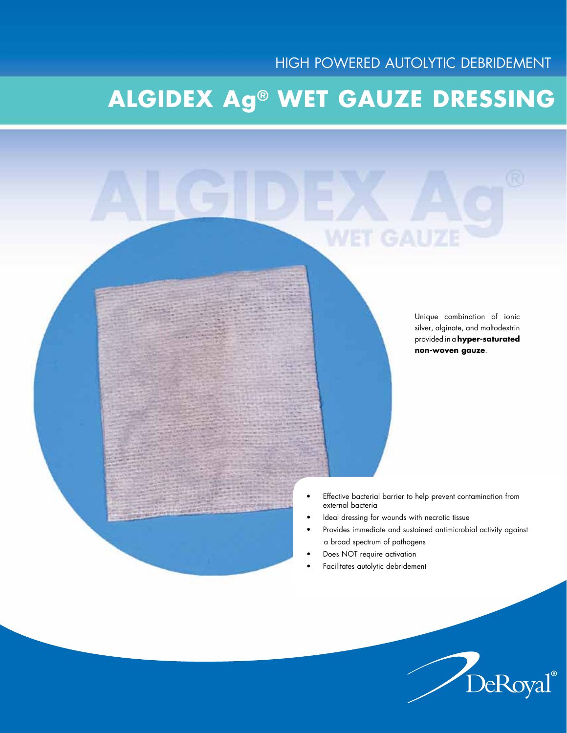# **Algidex Ag® wET gauze dRESSING**



Unique combination of ionic silver, alginate, and maltodextrin provided in a **hyper-saturated non-woven gauze**.

DeRoyal®

- • Effective bacterial barrier to help prevent contamination from external bacteria
- Ideal dressing for wounds with necrotic tissue
- Provides immediate and sustained antimicrobial activity against a broad spectrum of pathogens
- Does NOT require activation
- Facilitates autolytic debridement